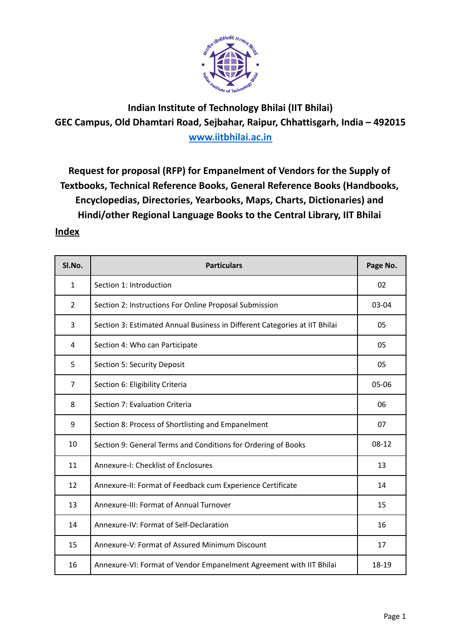

**Indian Institute of Technology Bhilai (IIT Bhilai) GEC Campus, Old Dhamtari Road, Sejbahar, Raipur, Chhattisgarh, India – 492015 [www.iitbhilai.ac.in](http://www.iitbhilai.ac.in)**

**Request for proposal (RFP) for Empanelment of Vendors for the Supply of Textbooks, Technical Reference Books, General Reference Books (Handbooks, Encyclopedias, Directories, Yearbooks, Maps, Charts, Dictionaries) and Hindi/other Regional Language Books to the Central Library, IIT Bhilai**

# **Index**

| Sl.No.         | <b>Particulars</b>                                                         | Page No.  |
|----------------|----------------------------------------------------------------------------|-----------|
| $\mathbf{1}$   | Section 1: Introduction                                                    | 02        |
| $\overline{2}$ | Section 2: Instructions For Online Proposal Submission                     | $03-04$   |
| 3              | Section 3: Estimated Annual Business in Different Categories at IIT Bhilai | 05        |
| 4              | Section 4: Who can Participate                                             | 05        |
| 5              | Section 5: Security Deposit                                                | 05        |
| 7              | Section 6: Eligibility Criteria                                            | 05-06     |
| 8              | Section 7: Evaluation Criteria                                             | 06        |
| 9              | Section 8: Process of Shortlisting and Empanelment                         | 07        |
| 10             | Section 9: General Terms and Conditions for Ordering of Books              | $08 - 12$ |
| 11             | Annexure-I: Checklist of Enclosures                                        | 13        |
| 12             | Annexure-II: Format of Feedback cum Experience Certificate                 | 14        |
| 13             | Annexure-III: Format of Annual Turnover                                    | 15        |
| 14             | Annexure-IV: Format of Self-Declaration                                    | 16        |
| 15             | Annexure-V: Format of Assured Minimum Discount                             | 17        |
| 16             | Annexure-VI: Format of Vendor Empanelment Agreement with IIT Bhilai        | 18-19     |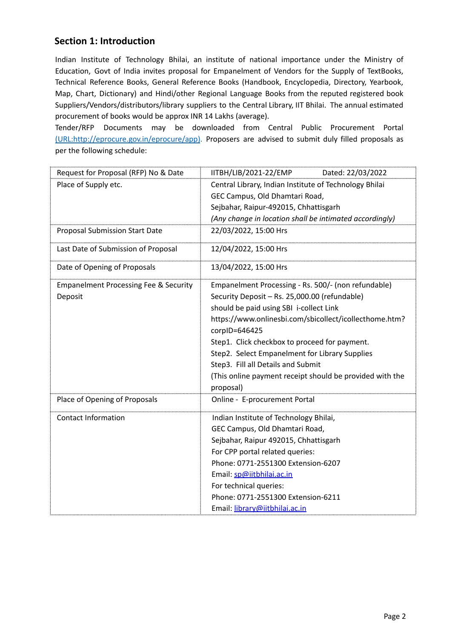# **Section 1: Introduction**

Indian Institute of Technology Bhilai, an institute of national importance under the Ministry of Education, Govt of India invites proposal for Empanelment of Vendors for the Supply of TextBooks, Technical Reference Books, General Reference Books (Handbook, Encyclopedia, Directory, Yearbook, Map, Chart, Dictionary) and Hindi/other Regional Language Books from the reputed registered book Suppliers/Vendors/distributors/library suppliers to the Central Library, IIT Bhilai. The annual estimated procurement of books would be approx INR 14 Lakhs (average).

Tender/RFP Documents may be downloaded from Central Public Procurement Portal (URL:http://eprocure.gov.in/eprocure/app). Proposers are advised to submit duly filled proposals as per the following schedule:

| Request for Proposal (RFP) No & Date             | Dated: 22/03/2022<br>IITBH/LIB/2021-22/EMP               |  |  |
|--------------------------------------------------|----------------------------------------------------------|--|--|
| Place of Supply etc.                             | Central Library, Indian Institute of Technology Bhilai   |  |  |
|                                                  | GEC Campus, Old Dhamtari Road,                           |  |  |
|                                                  | Sejbahar, Raipur-492015, Chhattisgarh                    |  |  |
|                                                  | (Any change in location shall be intimated accordingly)  |  |  |
| <b>Proposal Submission Start Date</b>            | 22/03/2022, 15:00 Hrs                                    |  |  |
| Last Date of Submission of Proposal              | 12/04/2022, 15:00 Hrs                                    |  |  |
| Date of Opening of Proposals                     | 13/04/2022, 15:00 Hrs                                    |  |  |
| <b>Empanelment Processing Fee &amp; Security</b> | Empanelment Processing - Rs. 500/- (non refundable)      |  |  |
| Deposit                                          | Security Deposit - Rs. 25,000.00 (refundable)            |  |  |
|                                                  | should be paid using SBI i-collect Link                  |  |  |
|                                                  | https://www.onlinesbi.com/sbicollect/icollecthome.htm?   |  |  |
|                                                  | corpID=646425                                            |  |  |
|                                                  | Step1. Click checkbox to proceed for payment.            |  |  |
|                                                  | Step2. Select Empanelment for Library Supplies           |  |  |
|                                                  | Step3. Fill all Details and Submit                       |  |  |
|                                                  | (This online payment receipt should be provided with the |  |  |
|                                                  | proposal)                                                |  |  |
| Place of Opening of Proposals                    | Online - E-procurement Portal                            |  |  |
| <b>Contact Information</b>                       | Indian Institute of Technology Bhilai,                   |  |  |
|                                                  | GEC Campus, Old Dhamtari Road,                           |  |  |
|                                                  | Sejbahar, Raipur 492015, Chhattisgarh                    |  |  |
|                                                  | For CPP portal related queries:                          |  |  |
|                                                  | Phone: 0771-2551300 Extension-6207                       |  |  |
|                                                  | Email: sp@iitbhilai.ac.in                                |  |  |
|                                                  | For technical queries:                                   |  |  |
|                                                  | Phone: 0771-2551300 Extension-6211                       |  |  |
|                                                  | Email: library@iitbhilai.ac.in                           |  |  |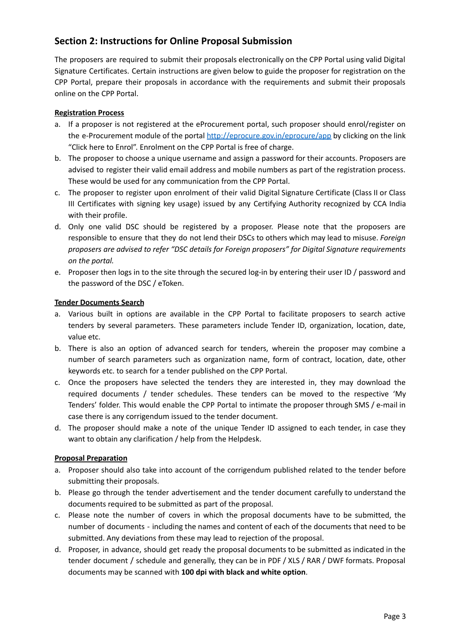# **Section 2: Instructions for Online Proposal Submission**

The proposers are required to submit their proposals electronically on the CPP Portal using valid Digital Signature Certificates. Certain instructions are given below to guide the proposer for registration on the CPP Portal, prepare their proposals in accordance with the requirements and submit their proposals online on the CPP Portal.

#### **Registration Process**

- a. If a proposer is not registered at the eProcurement portal, such proposer should enrol/register on the e-Procurement module of the portal <http://eprocure.gov.in/eprocure/app> by clicking on the link "Click here to Enrol". Enrolment on the CPP Portal is free of charge.
- b. The proposer to choose a unique username and assign a password for their accounts. Proposers are advised to register their valid email address and mobile numbers as part of the registration process. These would be used for any communication from the CPP Portal.
- c. The proposer to register upon enrolment of their valid Digital Signature Certificate (Class II or Class III Certificates with signing key usage) issued by any Certifying Authority recognized by CCA India with their profile.
- d. Only one valid DSC should be registered by a proposer. Please note that the proposers are responsible to ensure that they do not lend their DSCs to others which may lead to misuse. *Foreign proposers are advised to refer "DSC details for Foreign proposers" for Digital Signature requirements on the portal.*
- e. Proposer then logs in to the site through the secured log-in by entering their user ID / password and the password of the DSC / eToken.

#### **Tender Documents Search**

- a. Various built in options are available in the CPP Portal to facilitate proposers to search active tenders by several parameters. These parameters include Tender ID, organization, location, date, value etc.
- b. There is also an option of advanced search for tenders, wherein the proposer may combine a number of search parameters such as organization name, form of contract, location, date, other keywords etc. to search for a tender published on the CPP Portal.
- c. Once the proposers have selected the tenders they are interested in, they may download the required documents / tender schedules. These tenders can be moved to the respective 'My Tenders' folder. This would enable the CPP Portal to intimate the proposer through SMS / e-mail in case there is any corrigendum issued to the tender document.
- d. The proposer should make a note of the unique Tender ID assigned to each tender, in case they want to obtain any clarification / help from the Helpdesk.

#### **Proposal Preparation**

- a. Proposer should also take into account of the corrigendum published related to the tender before submitting their proposals.
- b. Please go through the tender advertisement and the tender document carefully to understand the documents required to be submitted as part of the proposal.
- c. Please note the number of covers in which the proposal documents have to be submitted, the number of documents - including the names and content of each of the documents that need to be submitted. Any deviations from these may lead to rejection of the proposal.
- d. Proposer, in advance, should get ready the proposal documents to be submitted as indicated in the tender document / schedule and generally, they can be in PDF / XLS / RAR / DWF formats. Proposal documents may be scanned with **100 dpi with black and white option**.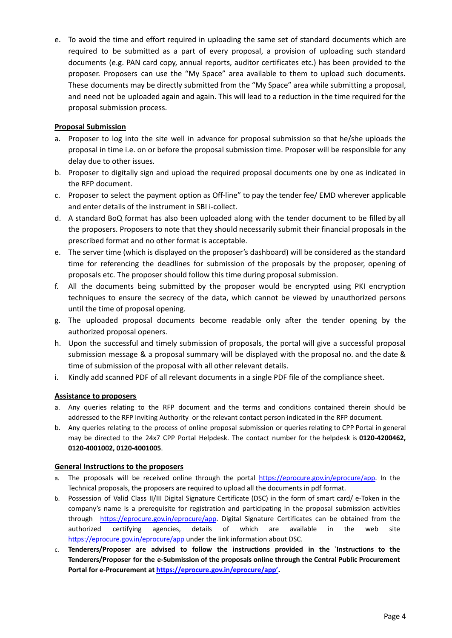e. To avoid the time and effort required in uploading the same set of standard documents which are required to be submitted as a part of every proposal, a provision of uploading such standard documents (e.g. PAN card copy, annual reports, auditor certificates etc.) has been provided to the proposer. Proposers can use the "My Space" area available to them to upload such documents. These documents may be directly submitted from the "My Space" area while submitting a proposal, and need not be uploaded again and again. This will lead to a reduction in the time required for the proposal submission process.

#### **Proposal Submission**

- a. Proposer to log into the site well in advance for proposal submission so that he/she uploads the proposal in time i.e. on or before the proposal submission time. Proposer will be responsible for any delay due to other issues.
- b. Proposer to digitally sign and upload the required proposal documents one by one as indicated in the RFP document.
- c. Proposer to select the payment option as Off-line" to pay the tender fee/ EMD wherever applicable and enter details of the instrument in SBI i-collect.
- d. A standard BoQ format has also been uploaded along with the tender document to be filled by all the proposers. Proposers to note that they should necessarily submit their financial proposals in the prescribed format and no other format is acceptable.
- e. The server time (which is displayed on the proposer's dashboard) will be considered as the standard time for referencing the deadlines for submission of the proposals by the proposer, opening of proposals etc. The proposer should follow this time during proposal submission.
- f. All the documents being submitted by the proposer would be encrypted using PKI encryption techniques to ensure the secrecy of the data, which cannot be viewed by unauthorized persons until the time of proposal opening.
- g. The uploaded proposal documents become readable only after the tender opening by the authorized proposal openers.
- h. Upon the successful and timely submission of proposals, the portal will give a successful proposal submission message & a proposal summary will be displayed with the proposal no. and the date & time of submission of the proposal with all other relevant details.
- i. Kindly add scanned PDF of all relevant documents in a single PDF file of the compliance sheet.

#### **Assistance to proposers**

- a. Any queries relating to the RFP document and the terms and conditions contained therein should be addressed to the RFP Inviting Authority or the relevant contact person indicated in the RFP document.
- b. Any queries relating to the process of online proposal submission or queries relating to CPP Portal in general may be directed to the 24x7 CPP Portal Helpdesk. The contact number for the helpdesk is **0120-4200462, 0120-4001002, 0120-4001005**.

#### **General Instructions to the proposers**

- a. The proposals will be received online through the portal [https://eprocure.gov.in/eprocure/app.](https://eprocure.gov.in/eprocure/app) In the Technical proposals, the proposers are required to upload all the documents in pdf format.
- b. Possession of Valid Class II/III Digital Signature Certificate (DSC) in the form of smart card/ e-Token in the company's name is a prerequisite for registration and participating in the proposal submission activities through [https://eprocure.gov.in/eprocure/app.](https://eprocure.gov.in/eprocure/app) Digital Signature Certificates can be obtained from the authorized certifying agencies, details of which are available in the web site <https://eprocure.gov.in/eprocure/app> under the link information about DSC.
- c. **Tenderers/Proposer are advised to follow the instructions provided in the `Instructions to the Tenderers/Proposer for the e-Submission of the proposals online through the Central Public Procurement Portal for e-Procurement at [https://eprocure.gov.in/eprocure/app'.](https://eprocure.gov.in/eprocure/app)**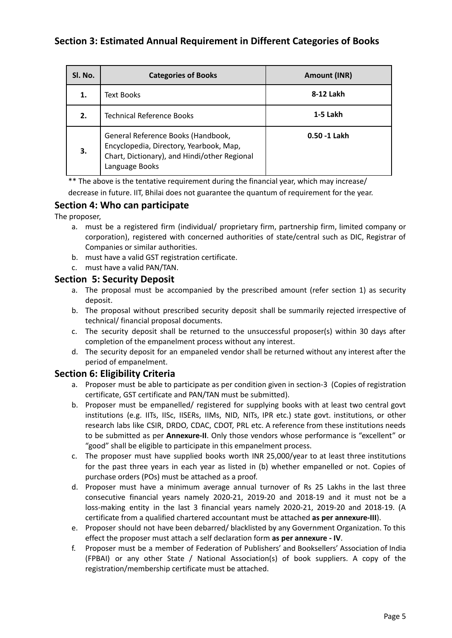# **Section 3: Estimated Annual Requirement in Different Categories of Books**

| Sl. No. | <b>Categories of Books</b>                                                                                                                      | Amount (INR) |
|---------|-------------------------------------------------------------------------------------------------------------------------------------------------|--------------|
| 1.      | Text Books                                                                                                                                      | 8-12 Lakh    |
| 2.      | <b>Technical Reference Books</b>                                                                                                                | 1-5 Lakh     |
| З.      | General Reference Books (Handbook,<br>Encyclopedia, Directory, Yearbook, Map,<br>Chart, Dictionary), and Hindi/other Regional<br>Language Books | 0.50 -1 Lakh |

\*\* The above is the tentative requirement during the financial year, which may increase/ decrease in future. IIT, Bhilai does not guarantee the quantum of requirement for the year.

# **Section 4: Who can participate**

The proposer,

- a. must be a registered firm (individual/ proprietary firm, partnership firm, limited company or corporation), registered with concerned authorities of state/central such as DIC, Registrar of Companies or similar authorities.
- b. must have a valid GST registration certificate.
- c. must have a valid PAN/TAN.

## **Section 5: Security Deposit**

- a. The proposal must be accompanied by the prescribed amount (refer section 1) as security deposit.
- b. The proposal without prescribed security deposit shall be summarily rejected irrespective of technical/ financial proposal documents.
- c. The security deposit shall be returned to the unsuccessful proposer(s) within 30 days after completion of the empanelment process without any interest.
- d. The security deposit for an empaneled vendor shall be returned without any interest after the period of empanelment.

# **Section 6: Eligibility Criteria**

- a. Proposer must be able to participate as per condition given in section-3 (Copies of registration certificate, GST certificate and PAN/TAN must be submitted).
- b. Proposer must be empanelled/ registered for supplying books with at least two central govt institutions (e.g. IITs, IISc, IISERs, IIMs, NID, NITs, IPR etc.) state govt. institutions, or other research labs like CSIR, DRDO, CDAC, CDOT, PRL etc. A reference from these institutions needs to be submitted as per **Annexure-II**. Only those vendors whose performance is "excellent" or "good" shall be eligible to participate in this empanelment process.
- c. The proposer must have supplied books worth INR 25,000/year to at least three institutions for the past three years in each year as listed in (b) whether empanelled or not. Copies of purchase orders (POs) must be attached as a proof.
- d. Proposer must have a minimum average annual turnover of Rs 25 Lakhs in the last three consecutive financial years namely 2020-21, 2019-20 and 2018-19 and it must not be a loss-making entity in the last 3 financial years namely 2020-21, 2019-20 and 2018-19. (A certificate from a qualified chartered accountant must be attached **as per annexure-III**).
- e. Proposer should not have been debarred/ blacklisted by any Government Organization. To this effect the proposer must attach a self declaration form **as per annexure - IV**.
- f. Proposer must be a member of Federation of Publishers' and Booksellers' Association of India (FPBAI) or any other State / National Association(s) of book suppliers. A copy of the registration/membership certificate must be attached.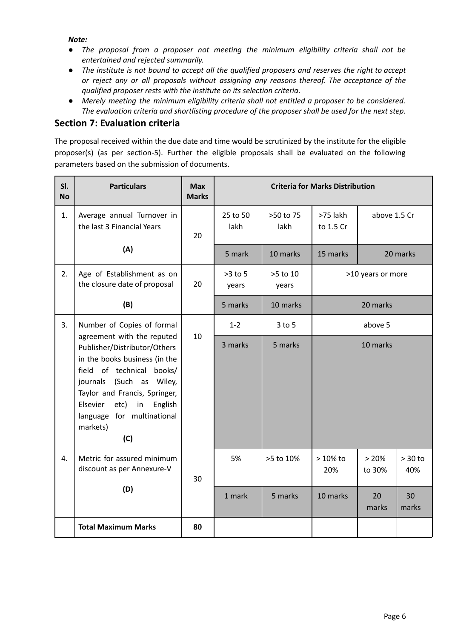*Note:*

- *● The proposal from a proposer not meeting the minimum eligibility criteria shall not be entertained and rejected summarily.*
- The institute is not bound to accept all the qualified proposers and reserves the right to accept *or reject any or all proposals without assigning any reasons thereof. The acceptance of the qualified proposer rests with the institute on its selection criteria.*
- *● Merely meeting the minimum eligibility criteria shall not entitled a proposer to be considered. The evaluation criteria and shortlisting procedure of the proposer shall be used for the next step.*

## **Section 7: Evaluation criteria**

The proposal received within the due date and time would be scrutinized by the institute for the eligible proposer(s) (as per section-5). Further the eligible proposals shall be evaluated on the following parameters based on the submission of documents.

| SI.<br><b>No</b> | <b>Particulars</b>                                                                                                                                                                                                                                                             | <b>Max</b><br><b>Marks</b> | <b>Criteria for Marks Distribution</b> |                   |                       |                   |                  |
|------------------|--------------------------------------------------------------------------------------------------------------------------------------------------------------------------------------------------------------------------------------------------------------------------------|----------------------------|----------------------------------------|-------------------|-----------------------|-------------------|------------------|
| 1.               | Average annual Turnover in<br>the last 3 Financial Years                                                                                                                                                                                                                       | 20                         | 25 to 50<br>lakh                       | >50 to 75<br>lakh | >75 lakh<br>to 1.5 Cr | above 1.5 Cr      |                  |
|                  | (A)                                                                                                                                                                                                                                                                            |                            | 5 mark                                 | 10 marks          | 15 marks              |                   | 20 marks         |
| 2.               | Age of Establishment as on<br>the closure date of proposal                                                                                                                                                                                                                     | 20                         | $>3$ to 5<br>years                     | >5 to 10<br>years |                       | >10 years or more |                  |
|                  | (B)                                                                                                                                                                                                                                                                            |                            | 5 marks                                | 10 marks          |                       | 20 marks          |                  |
| 3.               | Number of Copies of formal                                                                                                                                                                                                                                                     |                            | $1 - 2$                                | $3$ to $5$        | above 5               |                   |                  |
|                  | agreement with the reputed<br>Publisher/Distributor/Others<br>in the books business (in the<br>field of technical<br>books/<br>journals (Such as Wiley,<br>Taylor and Francis, Springer,<br>Elsevier<br>etc)<br>in<br>English<br>language for multinational<br>markets)<br>(C) | 10                         | 3 marks                                | 5 marks           |                       | 10 marks          |                  |
| 4.               | Metric for assured minimum<br>discount as per Annexure-V                                                                                                                                                                                                                       | 30                         | 5%                                     | >5 to 10%         | $>10\%$ to<br>20%     | >20%<br>to 30%    | $> 30$ to<br>40% |
|                  | (D)                                                                                                                                                                                                                                                                            |                            | 1 mark                                 | 5 marks           | 10 marks              | 20<br>marks       | 30<br>marks      |
|                  | <b>Total Maximum Marks</b>                                                                                                                                                                                                                                                     | 80                         |                                        |                   |                       |                   |                  |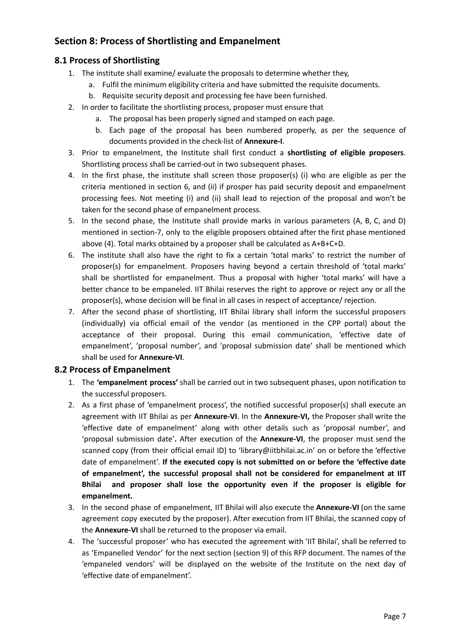# **Section 8: Process of Shortlisting and Empanelment**

## **8.1 Process of Shortlisting**

- 1. The institute shall examine/ evaluate the proposals to determine whether they,
	- a. Fulfil the minimum eligibility criteria and have submitted the requisite documents.
	- b. Requisite security deposit and processing fee have been furnished.
- 2. In order to facilitate the shortlisting process, proposer must ensure that
	- a. The proposal has been properly signed and stamped on each page.
	- b. Each page of the proposal has been numbered properly, as per the sequence of documents provided in the check-list of **Annexure-I**.
- 3. Prior to empanelment, the Institute shall first conduct a **shortlisting of eligible proposers**. Shortlisting process shall be carried-out in two subsequent phases.
- 4. In the first phase, the institute shall screen those proposer(s) (i) who are eligible as per the criteria mentioned in section 6, and (ii) if prosper has paid security deposit and empanelment processing fees. Not meeting (i) and (ii) shall lead to rejection of the proposal and won't be taken for the second phase of empanelment process.
- 5. In the second phase, the Institute shall provide marks in various parameters (A, B, C, and D) mentioned in section-7, only to the eligible proposers obtained after the first phase mentioned above (4). Total marks obtained by a proposer shall be calculated as A+B+C+D.
- 6. The institute shall also have the right to fix a certain 'total marks' to restrict the number of proposer(s) for empanelment. Proposers having beyond a certain threshold of 'total marks' shall be shortlisted for empanelment. Thus a proposal with higher 'total marks' will have a better chance to be empaneled. IIT Bhilai reserves the right to approve or reject any or all the proposer(s), whose decision will be final in all cases in respect of acceptance/ rejection.
- 7. After the second phase of shortlisting, IIT Bhilai library shall inform the successful proposers (individually) via official email of the vendor (as mentioned in the CPP portal) about the acceptance of their proposal. During this email communication, 'effective date of empanelment', 'proposal number', and 'proposal submission date' shall be mentioned which shall be used for **Annexure-VI**.

## **8.2 Process of Empanelment**

- 1. The **'empanelment process'** shall be carried out in two subsequent phases, upon notification to the successful proposers.
- 2. As a first phase of 'empanelment process', the notified successful proposer(s) shall execute an agreement with IIT Bhilai as per **Annexure-VI**. In the **Annexure-VI,** the Proposer shall write the 'effective date of empanelment' along with other details such as 'proposal number', and 'proposal submission date'**.** After execution of the **Annexure-VI**, the proposer must send the scanned copy (from their official email ID) to 'library@iitbhilai.ac.in' on or before the 'effective date of empanelment'. **If the executed copy is not submitted on or before the 'effective date of empanelment', the successful proposal shall not be considered for empanelment at IIT Bhilai and proposer shall lose the opportunity even if the proposer is eligible for empanelment.**
- 3. In the second phase of empanelment, IIT Bhilai will also execute the **Annexure-VI** (on the same agreement copy executed by the proposer). After execution from IIT Bhilai, the scanned copy of the **Annexure-VI** shall be returned to the proposer via email.
- 4. The 'successful proposer' who has executed the agreement with 'IIT Bhilai', shall be referred to as 'Empanelled Vendor' for the next section (section 9) of this RFP document. The names of the 'empaneled vendors' will be displayed on the website of the Institute on the next day of 'effective date of empanelment'.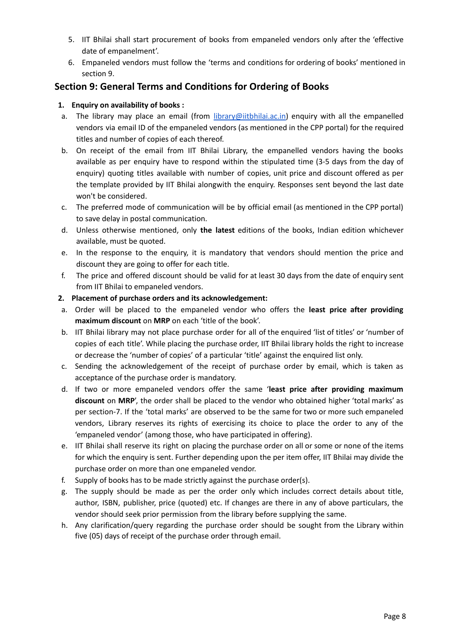- 5. IIT Bhilai shall start procurement of books from empaneled vendors only after the 'effective date of empanelment'.
- 6. Empaneled vendors must follow the 'terms and conditions for ordering of books' mentioned in section 9.

# **Section 9: General Terms and Conditions for Ordering of Books**

## **1. Enquiry on availability of books :**

- a. The library may place an email (from [library@iitbhilai.ac.in](mailto:library@iitbhilai.ac.in)) enquiry with all the empanelled vendors via email ID of the empaneled vendors (as mentioned in the CPP portal) for the required titles and number of copies of each thereof.
- b. On receipt of the email from IIT Bhilai Library, the empanelled vendors having the books available as per enquiry have to respond within the stipulated time (3-5 days from the day of enquiry) quoting titles available with number of copies, unit price and discount offered as per the template provided by IIT Bhilai alongwith the enquiry. Responses sent beyond the last date won't be considered.
- c. The preferred mode of communication will be by official email (as mentioned in the CPP portal) to save delay in postal communication.
- d. Unless otherwise mentioned, only **the latest** editions of the books, Indian edition whichever available, must be quoted.
- e. In the response to the enquiry, it is mandatory that vendors should mention the price and discount they are going to offer for each title.
- f. The price and offered discount should be valid for at least 30 days from the date of enquiry sent from IIT Bhilai to empaneled vendors.
- **2. Placement of purchase orders and its acknowledgement:**
- a. Order will be placed to the empaneled vendor who offers the **least price after providing maximum discount** on **MRP** on each 'title of the book'.
- b. IIT Bhilai library may not place purchase order for all of the enquired 'list of titles' or 'number of copies of each title'. While placing the purchase order, IIT Bhilai library holds the right to increase or decrease the 'number of copies' of a particular 'title' against the enquired list only.
- c. Sending the acknowledgement of the receipt of purchase order by email, which is taken as acceptance of the purchase order is mandatory.
- d. If two or more empaneled vendors offer the same '**least price after providing maximum discount** on **MRP**', the order shall be placed to the vendor who obtained higher 'total marks' as per section-7. If the 'total marks' are observed to be the same for two or more such empaneled vendors, Library reserves its rights of exercising its choice to place the order to any of the 'empaneled vendor' (among those, who have participated in offering).
- e. IIT Bhilai shall reserve its right on placing the purchase order on all or some or none of the items for which the enquiry is sent. Further depending upon the per item offer, IIT Bhilai may divide the purchase order on more than one empaneled vendor.
- f. Supply of books has to be made strictly against the purchase order(s).
- g. The supply should be made as per the order only which includes correct details about title, author, ISBN, publisher, price (quoted) etc. If changes are there in any of above particulars, the vendor should seek prior permission from the library before supplying the same.
- h. Any clarification/query regarding the purchase order should be sought from the Library within five (05) days of receipt of the purchase order through email.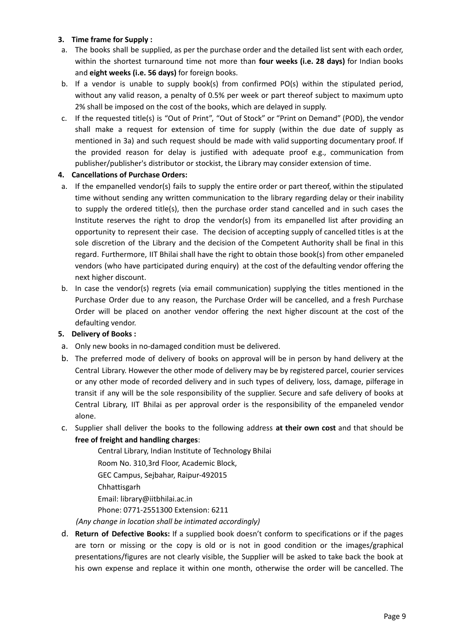#### **3. Time frame for Supply :**

- a. The books shall be supplied, as per the purchase order and the detailed list sent with each order, within the shortest turnaround time not more than **four weeks (i.e. 28 days)** for Indian books and **eight weeks (i.e. 56 days)** for foreign books.
- b. If a vendor is unable to supply book(s) from confirmed PO(s) within the stipulated period, without any valid reason, a penalty of 0.5% per week or part thereof subject to maximum upto 2% shall be imposed on the cost of the books, which are delayed in supply.
- c. If the requested title(s) is "Out of Print", "Out of Stock" or "Print on Demand" (POD), the vendor shall make a request for extension of time for supply (within the due date of supply as mentioned in 3a) and such request should be made with valid supporting documentary proof. If the provided reason for delay is justified with adequate proof e.g., communication from publisher/publisher's distributor or stockist, the Library may consider extension of time.

### **4. Cancellations of Purchase Orders:**

- a. If the empanelled vendor(s) fails to supply the entire order or part thereof, within the stipulated time without sending any written communication to the library regarding delay or their inability to supply the ordered title(s), then the purchase order stand cancelled and in such cases the Institute reserves the right to drop the vendor(s) from its empanelled list after providing an opportunity to represent their case. The decision of accepting supply of cancelled titles is at the sole discretion of the Library and the decision of the Competent Authority shall be final in this regard. Furthermore, IIT Bhilai shall have the right to obtain those book(s) from other empaneled vendors (who have participated during enquiry) at the cost of the defaulting vendor offering the next higher discount.
- b. In case the vendor(s) regrets (via email communication) supplying the titles mentioned in the Purchase Order due to any reason, the Purchase Order will be cancelled, and a fresh Purchase Order will be placed on another vendor offering the next higher discount at the cost of the defaulting vendor.

## **5. Delivery of Books :**

- a. Only new books in no-damaged condition must be delivered.
- b. The preferred mode of delivery of books on approval will be in person by hand delivery at the Central Library. However the other mode of delivery may be by registered parcel, courier services or any other mode of recorded delivery and in such types of delivery, loss, damage, pilferage in transit if any will be the sole responsibility of the supplier. Secure and safe delivery of books at Central Library, IIT Bhilai as per approval order is the responsibility of the empaneled vendor alone.
- c. Supplier shall deliver the books to the following address **at their own cost** and that should be **free of freight and handling charges**:

Central Library, Indian Institute of Technology Bhilai Room No. 310,3rd Floor, Academic Block, GEC Campus, Sejbahar, Raipur-492015 Chhattisgarh Email: [library@iitbhilai.ac.in](mailto:library@iitbhilai.ac.in) Phone: 0771-2551300 Extension: 6211

*(Any change in location shall be intimated accordingly)*

d. **Return of Defective Books:** If a supplied book doesn't conform to specifications or if the pages are torn or missing or the copy is old or is not in good condition or the images/graphical presentations/figures are not clearly visible, the Supplier will be asked to take back the book at his own expense and replace it within one month, otherwise the order will be cancelled. The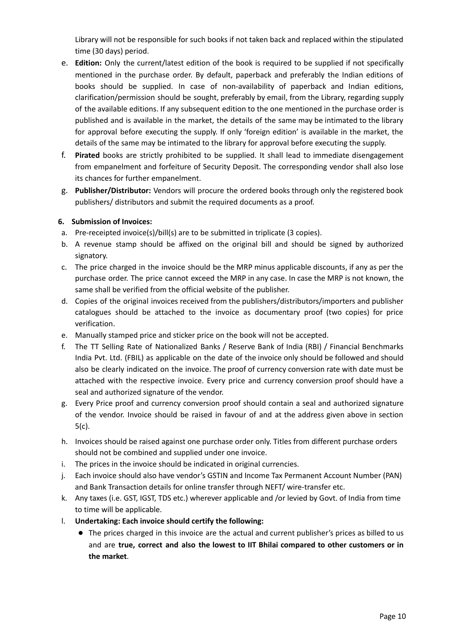Library will not be responsible for such books if not taken back and replaced within the stipulated time (30 days) period.

- e. **Edition:** Only the current/latest edition of the book is required to be supplied if not specifically mentioned in the purchase order. By default, paperback and preferably the Indian editions of books should be supplied. In case of non-availability of paperback and Indian editions, clarification/permission should be sought, preferably by email, from the Library, regarding supply of the available editions. If any subsequent edition to the one mentioned in the purchase order is published and is available in the market, the details of the same may be intimated to the library for approval before executing the supply. If only 'foreign edition' is available in the market, the details of the same may be intimated to the library for approval before executing the supply.
- f. **Pirated** books are strictly prohibited to be supplied. It shall lead to immediate disengagement from empanelment and forfeiture of Security Deposit. The corresponding vendor shall also lose its chances for further empanelment.
- g. **Publisher/Distributor:** Vendors will procure the ordered books through only the registered book publishers/ distributors and submit the required documents as a proof.

#### **6. Submission of Invoices:**

- a. Pre-receipted invoice(s)/bill(s) are to be submitted in triplicate (3 copies).
- b. A revenue stamp should be affixed on the original bill and should be signed by authorized signatory.
- c. The price charged in the invoice should be the MRP minus applicable discounts, if any as per the purchase order. The price cannot exceed the MRP in any case. In case the MRP is not known, the same shall be verified from the official website of the publisher.
- d. Copies of the original invoices received from the publishers/distributors/importers and publisher catalogues should be attached to the invoice as documentary proof (two copies) for price verification.
- e. Manually stamped price and sticker price on the book will not be accepted.
- f. The TT Selling Rate of Nationalized Banks / Reserve Bank of India (RBI) / Financial Benchmarks India Pvt. Ltd. (FBIL) as applicable on the date of the invoice only should be followed and should also be clearly indicated on the invoice. The proof of currency conversion rate with date must be attached with the respective invoice. Every price and currency conversion proof should have a seal and authorized signature of the vendor.
- g. Every Price proof and currency conversion proof should contain a seal and authorized signature of the vendor. Invoice should be raised in favour of and at the address given above in section 5(c).
- h. Invoices should be raised against one purchase order only. Titles from different purchase orders should not be combined and supplied under one invoice.
- i. The prices in the invoice should be indicated in original currencies.
- j. Each invoice should also have vendor's GSTIN and Income Tax Permanent Account Number (PAN) and Bank Transaction details for online transfer through NEFT/ wire-transfer etc.
- k. Any taxes (i.e. GST, IGST, TDS etc.) wherever applicable and /or levied by Govt. of India from time to time will be applicable.
- l. **Undertaking: Each invoice should certify the following:**
	- The prices charged in this invoice are the actual and current publisher's prices as billed to us and are **true, correct and also the lowest to IIT Bhilai compared to other customers or in the market**.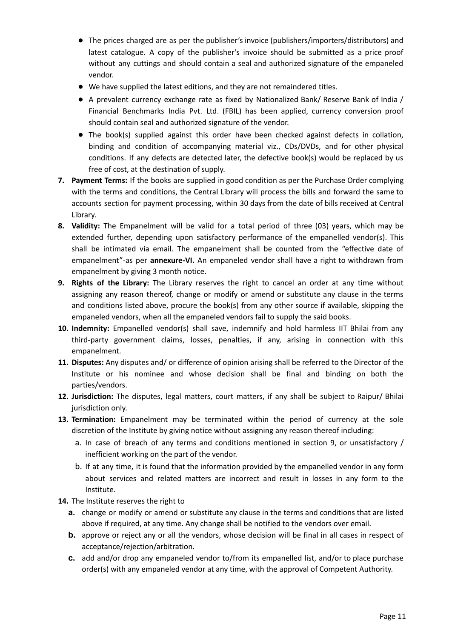- The prices charged are as per the publisher's invoice (publishers/importers/distributors) and latest catalogue. A copy of the publisher's invoice should be submitted as a price proof without any cuttings and should contain a seal and authorized signature of the empaneled vendor.
- We have supplied the latest editions, and they are not remaindered titles.
- A prevalent currency exchange rate as fixed by Nationalized Bank/ Reserve Bank of India / Financial Benchmarks India Pvt. Ltd. (FBIL) has been applied, currency conversion proof should contain seal and authorized signature of the vendor.
- The book(s) supplied against this order have been checked against defects in collation, binding and condition of accompanying material viz., CDs/DVDs, and for other physical conditions. If any defects are detected later, the defective book(s) would be replaced by us free of cost, at the destination of supply.
- **7. Payment Terms:** If the books are supplied in good condition as per the Purchase Order complying with the terms and conditions, the Central Library will process the bills and forward the same to accounts section for payment processing, within 30 days from the date of bills received at Central Library.
- **8. Validity:** The Empanelment will be valid for a total period of three (03) years, which may be extended further, depending upon satisfactory performance of the empanelled vendor(s). This shall be intimated via email. The empanelment shall be counted from the "effective date of empanelment"-as per **annexure-VI.** An empaneled vendor shall have a right to withdrawn from empanelment by giving 3 month notice.
- **9. Rights of the Library:** The Library reserves the right to cancel an order at any time without assigning any reason thereof, change or modify or amend or substitute any clause in the terms and conditions listed above, procure the book(s) from any other source if available, skipping the empaneled vendors, when all the empaneled vendors fail to supply the said books.
- **10. Indemnity:** Empanelled vendor(s) shall save, indemnify and hold harmless IIT Bhilai from any third-party government claims, losses, penalties, if any, arising in connection with this empanelment.
- **11. Disputes:** Any disputes and/ or difference of opinion arising shall be referred to the Director of the Institute or his nominee and whose decision shall be final and binding on both the parties/vendors.
- **12. Jurisdiction:** The disputes, legal matters, court matters, if any shall be subject to Raipur/ Bhilai jurisdiction only.
- **13. Termination:** Empanelment may be terminated within the period of currency at the sole discretion of the Institute by giving notice without assigning any reason thereof including:
	- a. In case of breach of any terms and conditions mentioned in section 9, or unsatisfactory / inefficient working on the part of the vendor.
	- b. If at any time, it is found that the information provided by the empanelled vendor in any form about services and related matters are incorrect and result in losses in any form to the Institute.
- **14.** The Institute reserves the right to
	- **a.** change or modify or amend or substitute any clause in the terms and conditions that are listed above if required, at any time. Any change shall be notified to the vendors over email.
	- **b.** approve or reject any or all the vendors, whose decision will be final in all cases in respect of acceptance/rejection/arbitration.
	- **c.** add and/or drop any empaneled vendor to/from its empanelled list, and/or to place purchase order(s) with any empaneled vendor at any time, with the approval of Competent Authority.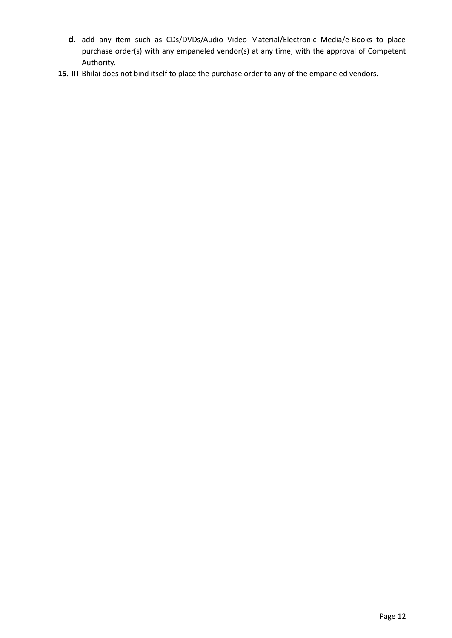- **d.** add any item such as CDs/DVDs/Audio Video Material/Electronic Media/e-Books to place purchase order(s) with any empaneled vendor(s) at any time, with the approval of Competent Authority.
- **15.** IIT Bhilai does not bind itself to place the purchase order to any of the empaneled vendors.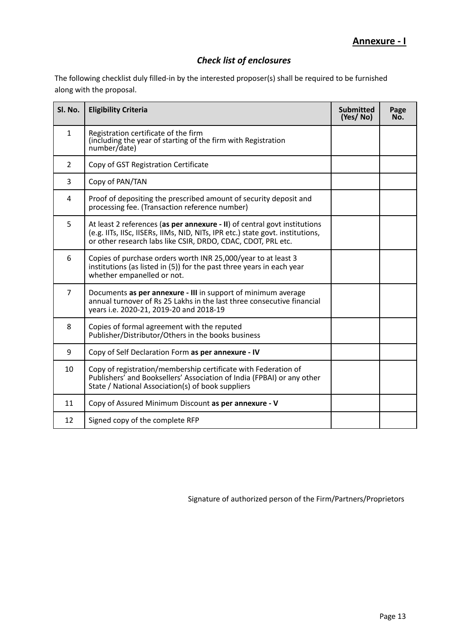# *Check list of enclosures*

The following checklist duly filled-in by the interested proposer(s) shall be required to be furnished along with the proposal.

| Sl. No.        | <b>Eligibility Criteria</b>                                                                                                                                                                                                 | <b>Submitted</b><br>(Yes/No) | Page<br>No. |
|----------------|-----------------------------------------------------------------------------------------------------------------------------------------------------------------------------------------------------------------------------|------------------------------|-------------|
| $\mathbf{1}$   | Registration certificate of the firm<br>(including the year of starting of the firm with Registration<br>number/date)                                                                                                       |                              |             |
| $\overline{2}$ | Copy of GST Registration Certificate                                                                                                                                                                                        |                              |             |
| 3              | Copy of PAN/TAN                                                                                                                                                                                                             |                              |             |
| 4              | Proof of depositing the prescribed amount of security deposit and<br>processing fee. (Transaction reference number)                                                                                                         |                              |             |
| 5              | At least 2 references (as per annexure - II) of central govt institutions<br>(e.g. IITs, IISc, IISERs, IIMs, NID, NITs, IPR etc.) state govt. institutions,<br>or other research labs like CSIR, DRDO, CDAC, CDOT, PRL etc. |                              |             |
| 6              | Copies of purchase orders worth INR 25,000/year to at least 3<br>institutions (as listed in (5)) for the past three years in each year<br>whether empanelled or not.                                                        |                              |             |
| $\overline{7}$ | Documents as per annexure - III in support of minimum average<br>annual turnover of Rs 25 Lakhs in the last three consecutive financial<br>years i.e. 2020-21, 2019-20 and 2018-19                                          |                              |             |
| 8              | Copies of formal agreement with the reputed<br>Publisher/Distributor/Others in the books business                                                                                                                           |                              |             |
| 9              | Copy of Self Declaration Form as per annexure - IV                                                                                                                                                                          |                              |             |
| 10             | Copy of registration/membership certificate with Federation of<br>Publishers' and Booksellers' Association of India (FPBAI) or any other<br>State / National Association(s) of book suppliers                               |                              |             |
| 11             | Copy of Assured Minimum Discount as per annexure - V                                                                                                                                                                        |                              |             |
| 12             | Signed copy of the complete RFP                                                                                                                                                                                             |                              |             |

Signature of authorized person of the Firm/Partners/Proprietors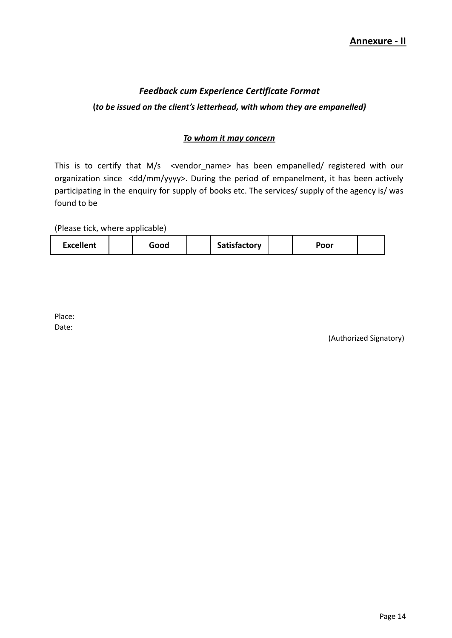# *Feedback cum Experience Certificate Format* **(***to be issued on the client's letterhead, with whom they are empanelled)*

## *To whom it may concern*

This is to certify that M/s <vendor\_name> has been empanelled/ registered with our organization since <dd/mm/yyyy>. During the period of empanelment, it has been actively participating in the enquiry for supply of books etc. The services/ supply of the agency is/ was found to be

(Please tick, where applicable)

|  | <b>Excellent</b> |  | Good |  | <b>Satisfactory</b> |  | Poor |  |
|--|------------------|--|------|--|---------------------|--|------|--|
|--|------------------|--|------|--|---------------------|--|------|--|

Place: Date:

(Authorized Signatory)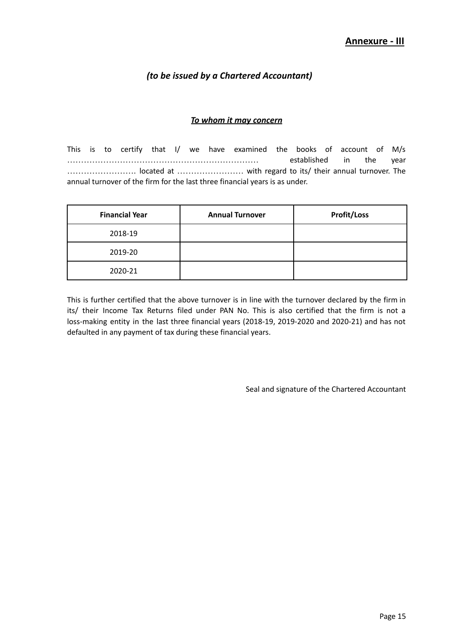# *(to be issued by a Chartered Accountant)*

#### *To whom it may concern*

This is to certify that I/ we have examined the books of account of M/s …………………………………………………………… established in the year ……………………. located at …………………… with regard to its/ their annual turnover. The annual turnover of the firm for the last three financial years is as under.

| <b>Financial Year</b> | <b>Annual Turnover</b> | <b>Profit/Loss</b> |
|-----------------------|------------------------|--------------------|
| 2018-19               |                        |                    |
| 2019-20               |                        |                    |
| 2020-21               |                        |                    |

This is further certified that the above turnover is in line with the turnover declared by the firm in its/ their Income Tax Returns filed under PAN No. This is also certified that the firm is not a loss-making entity in the last three financial years (2018-19, 2019-2020 and 2020-21) and has not defaulted in any payment of tax during these financial years.

Seal and signature of the Chartered Accountant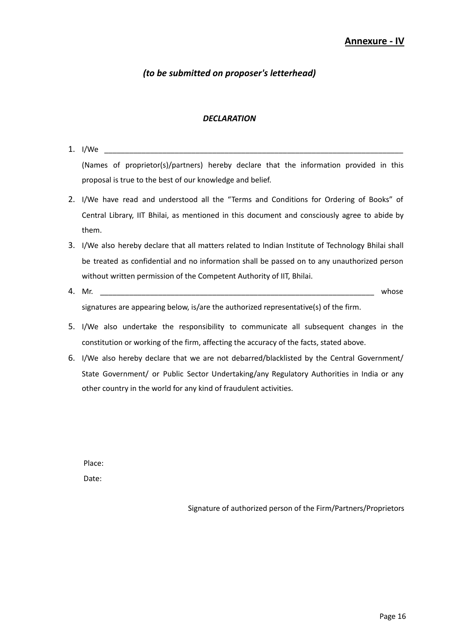# *(to be submitted on proposer's letterhead)*

#### *DECLARATION*

- 1.  $I/We$ (Names of proprietor(s)/partners) hereby declare that the information provided in this proposal is true to the best of our knowledge and belief. 2. I/We have read and understood all the "Terms and Conditions for Ordering of Books" of Central Library, IIT Bhilai, as mentioned in this document and consciously agree to abide by them. 3. I/We also hereby declare that all matters related to Indian Institute of Technology Bhilai shall be treated as confidential and no information shall be passed on to any unauthorized person without written permission of the Competent Authority of IIT, Bhilai.
- 4. Mr. \_\_\_\_\_\_\_\_\_\_\_\_\_\_\_\_\_\_\_\_\_\_\_\_\_\_\_\_\_\_\_\_\_\_\_\_\_\_\_\_\_\_\_\_\_\_\_\_\_\_\_\_\_\_\_\_\_\_\_\_\_\_\_\_\_\_ whose signatures are appearing below, is/are the authorized representative(s) of the firm.
- 5. I/We also undertake the responsibility to communicate all subsequent changes in the constitution or working of the firm, affecting the accuracy of the facts, stated above.
- 6. I/We also hereby declare that we are not debarred/blacklisted by the Central Government/ State Government/ or Public Sector Undertaking/any Regulatory Authorities in India or any other country in the world for any kind of fraudulent activities.

Place: Date:

Signature of authorized person of the Firm/Partners/Proprietors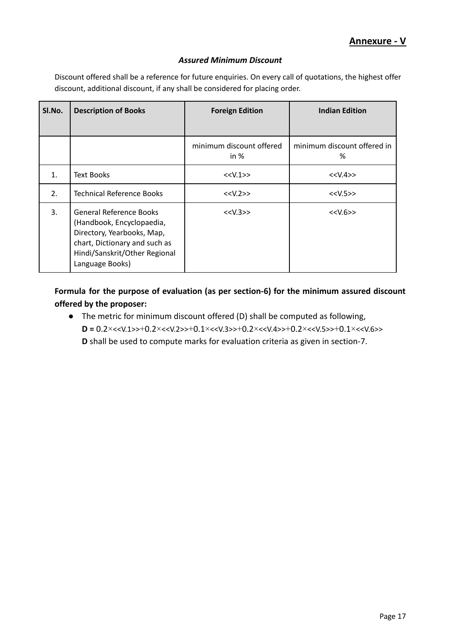### *Assured Minimum Discount*

Discount offered shall be a reference for future enquiries. On every call of quotations, the highest offer discount, additional discount, if any shall be considered for placing order.

| SI.No. | <b>Description of Books</b>                                                                                                                                                    | <b>Foreign Edition</b>             | <b>Indian Edition</b>            |
|--------|--------------------------------------------------------------------------------------------------------------------------------------------------------------------------------|------------------------------------|----------------------------------|
|        |                                                                                                                                                                                | minimum discount offered<br>in $%$ | minimum discount offered in<br>% |
| 1.     | <b>Text Books</b>                                                                                                                                                              | < <v.1>&gt;</v.1>                  | < <v.4>&gt;</v.4>                |
| 2.     | <b>Technical Reference Books</b>                                                                                                                                               | < <v.2>&gt;</v.2>                  | < <v.5>&gt;</v.5>                |
| 3.     | <b>General Reference Books</b><br>(Handbook, Encyclopaedia,<br>Directory, Yearbooks, Map,<br>chart, Dictionary and such as<br>Hindi/Sanskrit/Other Regional<br>Language Books) | < <v.3>&gt;</v.3>                  | < <v.6>&gt;</v.6>                |

**Formula for the purpose of evaluation (as per section-6) for the minimum assured discount offered by the proposer:**

● The metric for minimum discount offered (D) shall be computed as following, **D =** 0.2×<<V.1>>+0.2×<<V.2>>+0.1×<<V.3>>+0.2×<<V.4>>+0.2×<<V.5>>+0.1×<<V.6>> **D** shall be used to compute marks for evaluation criteria as given in section-7.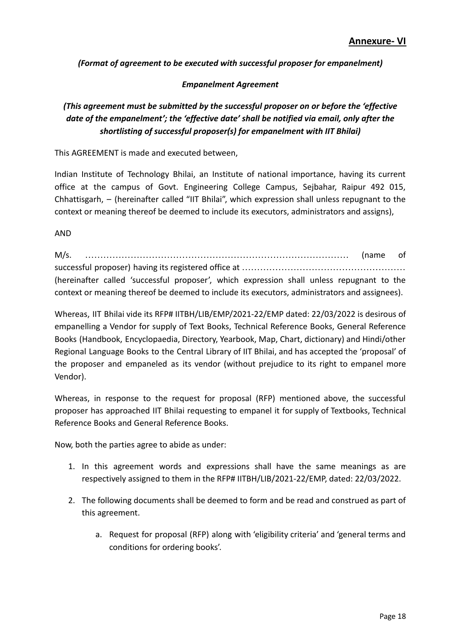*(Format of agreement to be executed with successful proposer for empanelment)*

## *Empanelment Agreement*

# *(This agreement must be submitted by the successful proposer on or before the 'effective date of the empanelment'; the 'effective date' shall be notified via email, only after the shortlisting of successful proposer(s) for empanelment with IIT Bhilai)*

This AGREEMENT is made and executed between,

Indian Institute of Technology Bhilai, an Institute of national importance, having its current office at the campus of Govt. Engineering College Campus, Sejbahar, Raipur 492 015, Chhattisgarh, – (hereinafter called "IIT Bhilai", which expression shall unless repugnant to the context or meaning thereof be deemed to include its executors, administrators and assigns),

AND

M/s. …………………………………………………………………………… (name of successful proposer) having its registered office at ……………………………………………………………………… (hereinafter called 'successful proposer', which expression shall unless repugnant to the context or meaning thereof be deemed to include its executors, administrators and assignees).

Whereas, IIT Bhilai vide its RFP# IITBH/LIB/EMP/2021-22/EMP dated: 22/03/2022 is desirous of empanelling a Vendor for supply of Text Books, Technical Reference Books, General Reference Books (Handbook, Encyclopaedia, Directory, Yearbook, Map, Chart, dictionary) and Hindi/other Regional Language Books to the Central Library of IIT Bhilai, and has accepted the 'proposal' of the proposer and empaneled as its vendor (without prejudice to its right to empanel more Vendor).

Whereas, in response to the request for proposal (RFP) mentioned above, the successful proposer has approached IIT Bhilai requesting to empanel it for supply of Textbooks, Technical Reference Books and General Reference Books.

Now, both the parties agree to abide as under:

- 1. In this agreement words and expressions shall have the same meanings as are respectively assigned to them in the RFP# IITBH/LIB/2021-22/EMP, dated: 22/03/2022.
- 2. The following documents shall be deemed to form and be read and construed as part of this agreement.
	- a. Request for proposal (RFP) along with 'eligibility criteria' and 'general terms and conditions for ordering books'.